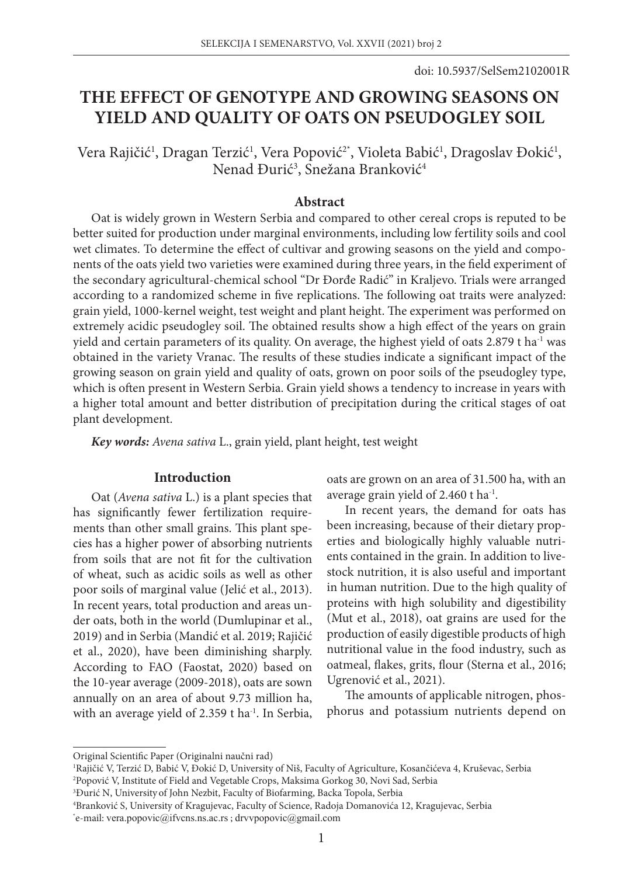# **THE EFFECT OF GENOTYPE AND GROWING SEASONS ON YIELD AND QUALITY OF OATS ON PSEUDOGLEY SOIL**

Vera Rajičić<sup>1</sup>, Dragan Terzić<sup>1</sup>, Vera Popović<sup>2\*</sup>, Violeta Babić<sup>1</sup>, Dragoslav Đokić<sup>1</sup>, Nenad Đurić<sup>3</sup>, Snežana Branković<sup>4</sup>

# **Abstract**

Oat is widely grown in Western Serbia and compared to other cereal crops is reputed to be better suited for production under marginal environments, including low fertility soils and cool wet climates. To determine the effect of cultivar and growing seasons on the yield and components of the oats yield two varieties were examined during three years, in the field experiment of the secondary agricultural-chemical school "Dr Đorđe Radić" in Kraljevo. Trials were arranged according to a randomized scheme in five replications. The following oat traits were analyzed: grain yield, 1000-kernel weight, test weight and plant height. The experiment was performed on extremely acidic pseudogley soil. The obtained results show a high effect of the years on grain yield and certain parameters of its quality. On average, the highest yield of oats  $2.879$  t ha<sup>-1</sup> was obtained in the variety Vranac. The results of these studies indicate a significant impact of the growing season on grain yield and quality of oats, grown on poor soils of the pseudogley type, which is often present in Western Serbia. Grain yield shows a tendency to increase in years with a higher total amount and better distribution of precipitation during the critical stages of oat plant development.

*Key words: Avena sativa* L., grain yield, plant height, test weight

# **Introduction**

Oat (*Avena sativa* L.) is a plant species that has significantly fewer fertilization requirements than other small grains. This plant species has a higher power of absorbing nutrients from soils that are not fit for the cultivation of wheat, such as acidic soils as well as other poor soils of marginal value (Jelić et al., 2013). In recent years, total production and areas under oats, both in the world (Dumlupinar et al., 2019) and in Serbia (Mandić et al. 2019; Rajičić et al., 2020), have been diminishing sharply. According to FAO (Faostat, 2020) based on the 10-year average (2009-2018), oats are sown annually on an area of about 9.73 million ha, with an average yield of 2.359 t ha<sup>-1</sup>. In Serbia, oats are grown on an area of 31.500 ha, with an average grain yield of 2.460 t ha<sup>-1</sup>.

In recent years, the demand for oats has been increasing, because of their dietary properties and biologically highly valuable nutrients contained in the grain. In addition to livestock nutrition, it is also useful and important in human nutrition. Due to the high quality of proteins with high solubility and digestibility (Mut et al., 2018), oat grains are used for the production of easily digestible products of high nutritional value in the food industry, such as oatmeal, flakes, grits, flour (Sterna et al., 2016; Ugrenović et al., 2021).

The amounts of applicable nitrogen, phosphorus and potassium nutrients depend on

Original Scientific Paper (Originalni naučni rad)

<sup>&</sup>lt;sup>1</sup>Rajičić V, Terzić D, Babić V, Đokić D, University of Niš, Faculty of Agriculture, Kosančićeva 4, Kruševac, Serbia<br><sup>2</sup>Ponović V, Institute of Field and Vegetable Crops, Maksima Gorkog 30, Novi Sad, Serbia Popović V, Institute of Field and Vegetable Crops, Maksima Gorkog 30, Novi Sad, Serbia

<sup>3</sup> Đurić N, University of John Nezbit, Faculty of Biofarming, Backa Topola, Serbia

<sup>4</sup> Branković S, University of Kragujevac, Faculty of Science, Radoja Domanovića 12, Kragujevac, Serbia

<sup>\*</sup> e-mail: vera.popovic@ifvcns.ns.ac.rs ; drvvpopovic@gmail.com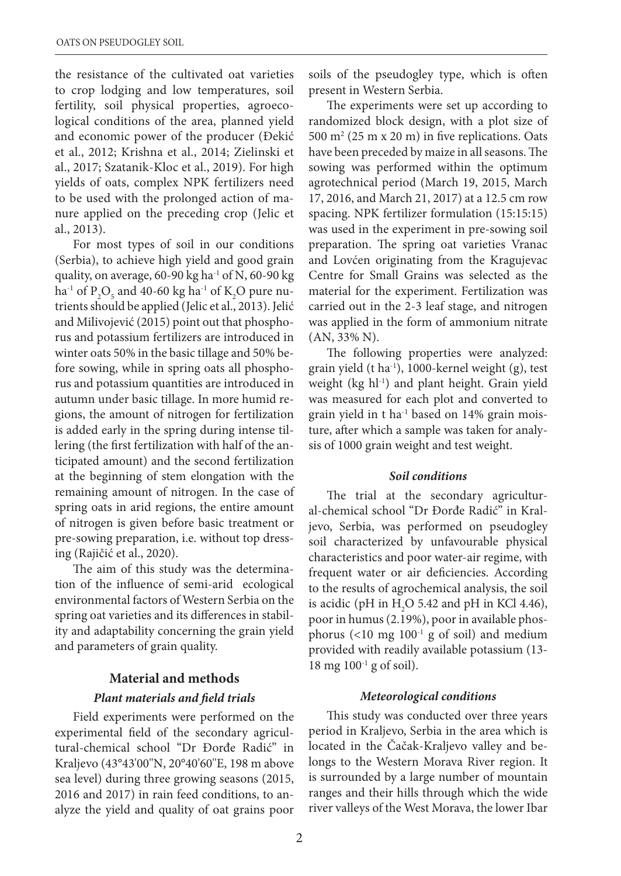the resistance of the cultivated oat varieties to crop lodging and low temperatures, soil fertility, soil physical properties, agroecological conditions of the area, planned yield and economic power of the producer (Đekić et al., 2012; Krishna et al., 2014; Zielinski et al., 2017; Szatanik-Kloc et al., 2019). For high yields of oats, complex NPK fertilizers need to be used with the prolonged action of manure applied on the preceding crop (Jelic et al., 2013).

For most types of soil in our conditions (Serbia), to achieve high yield and good grain quality, on average,  $60-90$  kg ha<sup>-1</sup> of N,  $60-90$  kg ha<sup>-1</sup> of P<sub>2</sub>O<sub>5</sub> and 40-60 kg ha<sup>-1</sup> of K<sub>2</sub>O pure nutrients should be applied (Jelic et al., 2013). Jelić and Milivojević (2015) point out that phosphorus and potassium fertilizers are introduced in winter oats 50% in the basic tillage and 50% before sowing, while in spring oats all phosphorus and potassium quantities are introduced in autumn under basic tillage. In more humid regions, the amount of nitrogen for fertilization is added early in the spring during intense tillering (the first fertilization with half of the anticipated amount) and the second fertilization at the beginning of stem elongation with the remaining amount of nitrogen. In the case of spring oats in arid regions, the entire amount of nitrogen is given before basic treatment or pre-sowing preparation, i.e. without top dressing (Rajičić et al., 2020).

The aim of this study was the determination of the influence of semi-arid ecological environmental factors of Western Serbia on the spring oat varieties and its differences in stability and adaptability concerning the grain yield and parameters of grain quality.

#### **Material and methods**

#### *Plant materials and field trials*

Field experiments were performed on the experimental field of the secondary agricultural-chemical school "Dr Đorđe Radić" in Kraljevo (43°43'00''N, 20°40'60''E, 198 m above sea level) during three growing seasons (2015, 2016 and 2017) in rain feed conditions, to analyze the yield and quality of oat grains poor soils of the pseudogley type, which is often present in Western Serbia.

The experiments were set up according to randomized block design, with a plot size of  $500 \text{ m}^2 (25 \text{ m} \text{ x } 20 \text{ m})$  in five replications. Oats have been preceded by maize in all seasons. The sowing was performed within the optimum agrotechnical period (March 19, 2015, March 17, 2016, and March 21, 2017) at a 12.5 cm row spacing. NPK fertilizer formulation (15:15:15) was used in the experiment in pre-sowing soil preparation. The spring oat varieties Vranac and Lovćen originating from the Kragujevac Centre for Small Grains was selected as the material for the experiment. Fertilization was carried out in the 2-3 leaf stage, and nitrogen was applied in the form of ammonium nitrate (AN, 33% N).

The following properties were analyzed: grain yield (t ha $^{-1}$ ), 1000-kernel weight (g), test weight (kg hl<sup>-1</sup>) and plant height. Grain yield was measured for each plot and converted to grain yield in t ha-1 based on 14% grain moisture, after which a sample was taken for analysis of 1000 grain weight and test weight.

#### *Soil conditions*

The trial at the secondary agricultural-chemical school "Dr Đorđe Radić" in Kraljevo, Serbia, was performed on pseudogley soil characterized by unfavourable physical characteristics and poor water-air regime, with frequent water or air deficiencies. According to the results of agrochemical analysis, the soil is acidic (pH in  $H_2O$  5.42 and pH in KCl 4.46), poor in humus (2.19%), poor in available phosphorus  $(<10$  mg  $100<sup>-1</sup>$  g of soil) and medium provided with readily available potassium (13-  $18 \text{ mg } 100^{-1} \text{ g of soil}$ .

#### *Meteorological conditions*

This study was conducted over three years period in Kraljevo, Serbia in the area which is located in the Čačak-Kraljevo valley and belongs to the Western Morava River region. It is surrounded by a large number of mountain ranges and their hills through which the wide river valleys of the West Morava, the lower Ibar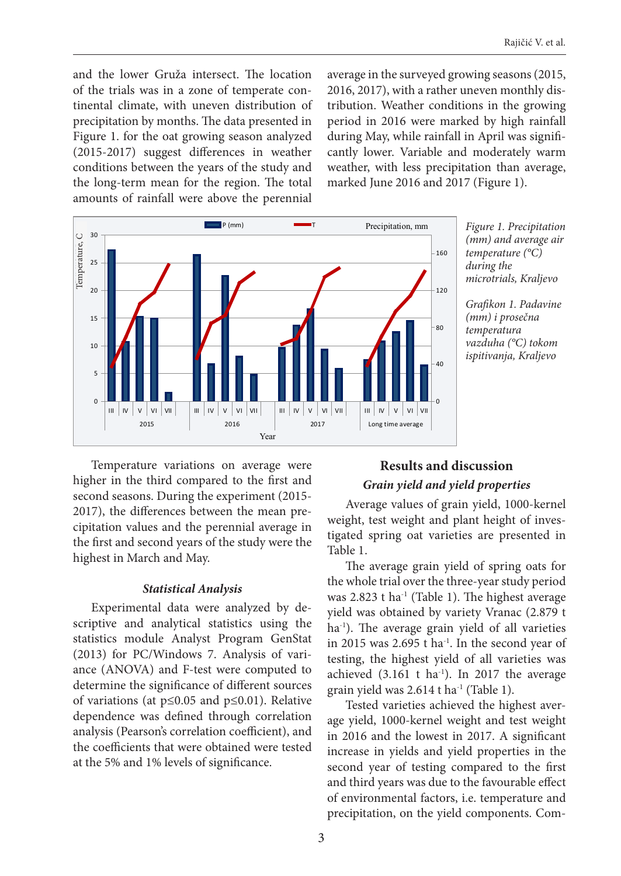and the lower Gruža intersect. The location of the trials was in a zone of temperate continental climate, with uneven distribution of precipitation by months. The data presented in Figure 1. for the oat growing season analyzed (2015-2017) suggest differences in weather conditions between the years of the study and the long-term mean for the region. The total amounts of rainfall were above the perennial

average in the surveyed growing seasons (2015, 2016, 2017), with a rather uneven monthly distribution. Weather conditions in the growing period in 2016 were marked by high rainfall during May, while rainfall in April was significantly lower. Variable and moderately warm weather, with less precipitation than average, marked June 2016 and 2017 (Figure 1).



*Figure 1. Precipitation (mm) and average air temperature (°C) during the microtrials, Kraljevo*

*Grafikon 1. Padavine (mm) i prosečna temperatura vazduha (°C) tokom ispitivanja, Kraljevo*

Temperature variations on average were higher in the third compared to the first and second seasons. During the experiment (2015- 2017), the differences between the mean precipitation values and the perennial average in the first and second years of the study were the highest in March and May.

# *Statistical Analysis*

Experimental data were analyzed by descriptive and analytical statistics using the statistics module Analyst Program GenStat (2013) for PC/Windows 7. Analysis of variance (ANOVA) and F-test were computed to determine the significance of different sources of variations (at p≤0.05 and p≤0.01). Relative dependence was defined through correlation analysis (Pearson's correlation coefficient), and the coefficients that were obtained were tested at the 5% and 1% levels of significance.

# **Results and discussion** *Grain yield and yield properties*

Average values of grain yield, 1000-kernel weight, test weight and plant height of investigated spring oat varieties are presented in Table 1.

The average grain yield of spring oats for the whole trial over the three-year study period was 2.823 t ha-1 (Table 1). The highest average yield was obtained by variety Vranac (2.879 t ha<sup>-1</sup>). The average grain yield of all varieties in 2015 was 2.695 t ha-1. In the second year of testing, the highest yield of all varieties was achieved  $(3.161 \text{ t} \text{ ha}^{-1})$ . In 2017 the average grain yield was 2.614 t ha<sup>-1</sup> (Table 1).

Tested varieties achieved the highest average yield, 1000-kernel weight and test weight in 2016 and the lowest in 2017. A significant increase in yields and yield properties in the second year of testing compared to the first and third years was due to the favourable effect of environmental factors, i.e. temperature and precipitation, on the yield components. Com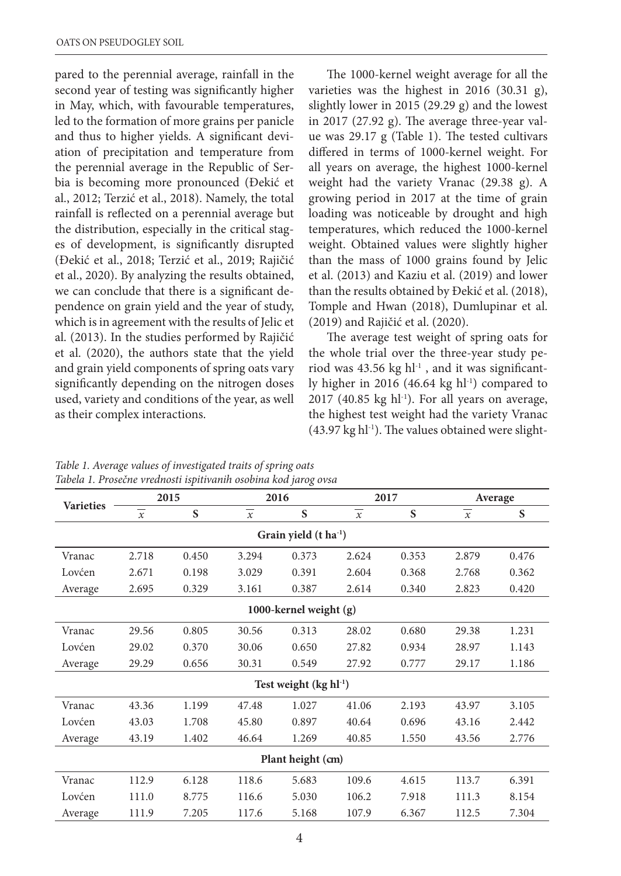pared to the perennial average, rainfall in the second year of testing was significantly higher in May, which, with favourable temperatures, led to the formation of more grains per panicle and thus to higher yields. A significant deviation of precipitation and temperature from the perennial average in the Republic of Serbia is becoming more pronounced (Đekić et al., 2012; Terzić et al., 2018). Namely, the total rainfall is reflected on a perennial average but the distribution, especially in the critical stages of development, is significantly disrupted (Đekić et al., 2018; Terzić et al., 2019; Rajičić et al., 2020). By analyzing the results obtained, we can conclude that there is a significant dependence on grain yield and the year of study, which is in agreement with the results of Jelic et al. (2013). In the studies performed by Rajičić et al. (2020), the authors state that the yield and grain yield components of spring oats vary significantly depending on the nitrogen doses used, variety and conditions of the year, as well as their complex interactions.

The 1000-kernel weight average for all the varieties was the highest in 2016 (30.31 g), slightly lower in 2015 (29.29 g) and the lowest in 2017 (27.92 g). The average three-year value was 29.17 g (Table 1). The tested cultivars differed in terms of 1000-kernel weight. For all years on average, the highest 1000-kernel weight had the variety Vranac (29.38 g). A growing period in 2017 at the time of grain loading was noticeable by drought and high temperatures, which reduced the 1000-kernel weight. Obtained values were slightly higher than the mass of 1000 grains found by Jelic et al. (2013) and Kaziu et al. (2019) and lower than the results obtained by Đekić et al. (2018), Tomple and Hwan (2018), Dumlupinar et al. (2019) and Rajičić et al. (2020).

The average test weight of spring oats for the whole trial over the three-year study period was 43.56 kg  $hl<sup>-1</sup>$ , and it was significantly higher in 2016 (46.64 kg hl $^{-1}$ ) compared to  $2017$  (40.85 kg hl<sup>-1</sup>). For all years on average, the highest test weight had the variety Vranac  $(43.97 \text{ kg} \text{ h}^{-1})$ . The values obtained were slight-

| <b>Varieties</b>             | 2015                |       | 2016           |       | 2017           |       | Average             |       |
|------------------------------|---------------------|-------|----------------|-------|----------------|-------|---------------------|-------|
|                              | $\boldsymbol{\chi}$ | S     | $\overline{x}$ | S     | $\overline{x}$ | S     | $\boldsymbol{\chi}$ | S     |
| Grain yield $(t \, ha^{-1})$ |                     |       |                |       |                |       |                     |       |
| Vranac                       | 2.718               | 0.450 | 3.294          | 0.373 | 2.624          | 0.353 | 2.879               | 0.476 |
| Lovćen                       | 2.671               | 0.198 | 3.029          | 0.391 | 2.604          | 0.368 | 2.768               | 0.362 |
| Average                      | 2.695               | 0.329 | 3.161          | 0.387 | 2.614          | 0.340 | 2.823               | 0.420 |
| 1000-kernel weight $(g)$     |                     |       |                |       |                |       |                     |       |
| Vranac                       | 29.56               | 0.805 | 30.56          | 0.313 | 28.02          | 0.680 | 29.38               | 1.231 |
| Lovćen                       | 29.02               | 0.370 | 30.06          | 0.650 | 27.82          | 0.934 | 28.97               | 1.143 |
| Average                      | 29.29               | 0.656 | 30.31          | 0.549 | 27.92          | 0.777 | 29.17               | 1.186 |
| Test weight $(kg h1^{-1})$   |                     |       |                |       |                |       |                     |       |
| Vranac                       | 43.36               | 1.199 | 47.48          | 1.027 | 41.06          | 2.193 | 43.97               | 3.105 |
| Lovćen                       | 43.03               | 1.708 | 45.80          | 0.897 | 40.64          | 0.696 | 43.16               | 2.442 |
| Average                      | 43.19               | 1.402 | 46.64          | 1.269 | 40.85          | 1.550 | 43.56               | 2.776 |
| Plant height (cm)            |                     |       |                |       |                |       |                     |       |
| Vranac                       | 112.9               | 6.128 | 118.6          | 5.683 | 109.6          | 4.615 | 113.7               | 6.391 |
| Lovćen                       | 111.0               | 8.775 | 116.6          | 5.030 | 106.2          | 7.918 | 111.3               | 8.154 |
| Average                      | 111.9               | 7.205 | 117.6          | 5.168 | 107.9          | 6.367 | 112.5               | 7.304 |

*Table 1. Average values of investigated traits of spring oats Tabela 1. Prosečne vrednosti ispitivanih osobina kod jarog ovsa*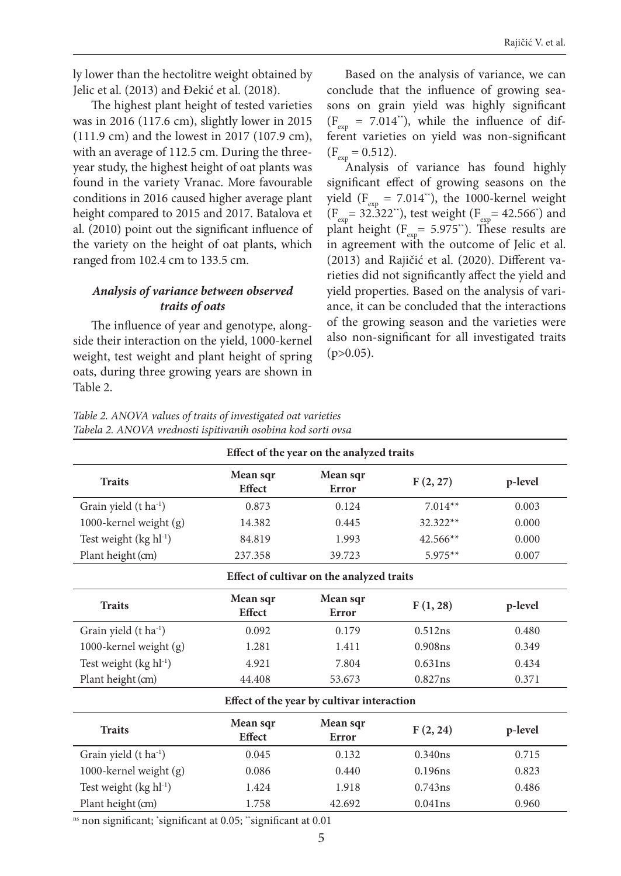ly lower than the hectolitre weight obtained by Jelic et al. (2013) and Đekić et al. (2018).

The highest plant height of tested varieties was in 2016 (117.6 cm), slightly lower in 2015 (111.9 cm) and the lowest in 2017 (107.9 cm), with an average of 112.5 cm. During the threeyear study, the highest height of oat plants was found in the variety Vranac. More favourable conditions in 2016 caused higher average plant height compared to 2015 and 2017. Batalova et al. (2010) point out the significant influence of the variety on the height of oat plants, which ranged from 102.4 cm to 133.5 cm.

# *Analysis of variance between observed traits of oats*

The influence of year and genotype, alongside their interaction on the yield, 1000-kernel weight, test weight and plant height of spring oats, during three growing years are shown in Table 2.

Based on the analysis of variance, we can conclude that the influence of growing seasons on grain yield was highly significant  $(F_{\text{evn}} = 7.014^*)$ , while the influence of different varieties on yield was non-significant  $(F_{\text{exp}} = 0.512).$ 

Analysis of variance has found highly significant effect of growing seasons on the yield ( $F_{\text{exp}} = 7.014$ <sup>\*\*</sup>), the 1000-kernel weight  $(F_{\text{exp}} = 32.322^*)$ , test weight  $(F_{\text{exp}} = 42.566^*)$  and plant height ( $F_{\text{ex}}$ = 5.975<sup>\*\*</sup>). These results are in agreement with the outcome of Jelic et al. (2013) and Rajičić et al. (2020). Different varieties did not significantly affect the yield and yield properties. Based on the analysis of variance, it can be concluded that the interactions of the growing season and the varieties were also non-significant for all investigated traits  $(p>0.05)$ .

| Table 2. ANOVA values of traits of investigated oat varieties |
|---------------------------------------------------------------|
| Tabela 2. ANOVA vrednosti ispitivanih osobina kod sorti ovsa  |

| Effect of the year on the analyzed traits  |                           |                   |            |         |  |  |  |
|--------------------------------------------|---------------------------|-------------------|------------|---------|--|--|--|
| <b>Traits</b>                              | Mean sqr<br><b>Effect</b> | Mean sqr<br>Error | F(2, 27)   | p-level |  |  |  |
| Grain yield (t ha <sup>-1</sup> )          | 0.873                     | 0.124             | $7.014**$  | 0.003   |  |  |  |
| 1000-kernel weight (g)                     | 14.382                    | 0.445             | 32.322**   | 0.000   |  |  |  |
| Test weight (kg hl <sup>-1</sup> )         | 84.819                    | 1.993             | $42.566**$ | 0.000   |  |  |  |
| Plant height (cm)                          | 237.358                   | 39.723            | $5.975**$  | 0.007   |  |  |  |
| Effect of cultivar on the analyzed traits  |                           |                   |            |         |  |  |  |
| <b>Traits</b>                              | Mean sqr<br><b>Effect</b> | Mean sqr<br>Error | F(1, 28)   | p-level |  |  |  |
| Grain yield (t ha <sup>-1</sup> )          | 0.092                     | 0.179             | 0.512ns    | 0.480   |  |  |  |
| 1000-kernel weight (g)                     | 1.281                     | 1.411             | 0.908ns    | 0.349   |  |  |  |
| Test weight (kg hl <sup>-1</sup> )         | 4.921                     | 7.804             | 0.631ns    | 0.434   |  |  |  |
| Plant height (cm)                          | 44.408                    | 53.673            | 0.827ns    | 0.371   |  |  |  |
| Effect of the year by cultivar interaction |                           |                   |            |         |  |  |  |
| <b>Traits</b>                              | Mean sqr<br>Effect        | Mean sqr<br>Error | F(2, 24)   | p-level |  |  |  |
| Grain yield (t ha <sup>-1</sup> )          | 0.045                     | 0.132             | 0.340ns    | 0.715   |  |  |  |
| 1000-kernel weight (g)                     | 0.086                     | 0.440             | 0.196ns    | 0.823   |  |  |  |
| Test weight (kg hl <sup>-1</sup> )         | 1.424                     | 1.918             | 0.743ns    | 0.486   |  |  |  |
| Plant height (cm)                          | 1.758                     | 42.692            | 0.041ns    | 0.960   |  |  |  |

ns non significant; \* significant at 0.05; \*\*significant at 0.01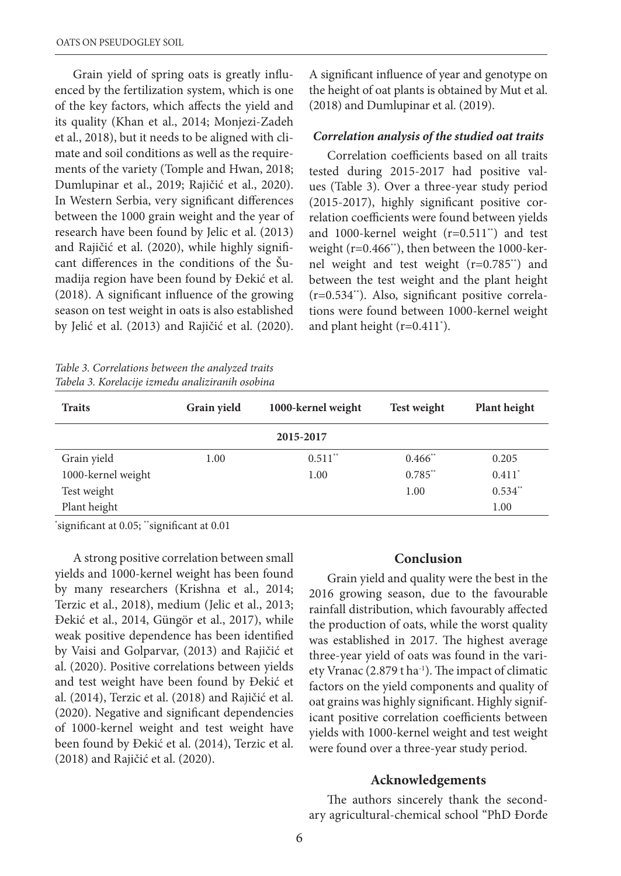Grain yield of spring oats is greatly influenced by the fertilization system, which is one of the key factors, which affects the yield and its quality (Khan et al., 2014; Monjezi-Zadeh et al., 2018), but it needs to be aligned with climate and soil conditions as well as the requirements of the variety (Tomple and Hwan, 2018; Dumlupinar et al., 2019; Rajičić et al., 2020). In Western Serbia, very significant differences between the 1000 grain weight and the year of research have been found by Jelic et al. (2013) and Rajičić et al. (2020), while highly significant differences in the conditions of the Šumadija region have been found by Đekić et al. (2018). A significant influence of the growing season on test weight in oats is also established by Jelić et al. (2013) and Rajičić et al. (2020).

*Table 3. Correlations between the analyzed traits Tabela 3. Korelacije između analiziranih osobina*

A significant influence of year and genotype on the height of oat plants is obtained by Mut et al. (2018) and Dumlupinar et al. (2019).

#### *Correlation analysis of the studied oat traits*

Correlation coefficients based on all traits tested during 2015-2017 had positive values (Table 3). Over a three-year study period (2015-2017), highly significant positive correlation coefficients were found between yields and 1000-kernel weight (r=0.511\*\*) and test weight (r=0.466\*\*), then between the 1000-kernel weight and test weight (r=0.785\*\*) and between the test weight and the plant height (r=0.534\*\*). Also, significant positive correlations were found between 1000-kernel weight and plant height (r=0.411\* ).

| <b>Traits</b>      | Grain yield | 1000-kernel weight    | <b>Test weight</b>    | Plant height |  |  |  |
|--------------------|-------------|-----------------------|-----------------------|--------------|--|--|--|
| 2015-2017          |             |                       |                       |              |  |  |  |
| Grain yield        | 1.00        | $0.511$ <sup>**</sup> | $0.466$ <sup>**</sup> | 0.205        |  |  |  |
| 1000-kernel weight |             | 1.00                  | $0.785**$             | $0.411*$     |  |  |  |
| Test weight        |             |                       | 1.00                  | $0.534$ **   |  |  |  |
| Plant height       |             |                       |                       | 1.00         |  |  |  |

\* significant at 0.05; \*\*significant at 0.01

A strong positive correlation between small yields and 1000-kernel weight has been found by many researchers (Krishna et al., 2014; Terzic et al., 2018), medium (Jelic et al., 2013; Đekić et al., 2014, Güngör et al., 2017), while weak positive dependence has been identified by Vaisi and Golparvar, (2013) and Rajičić et al. (2020). Positive correlations between yields and test weight have been found by Đekić et al. (2014), Terzic et al. (2018) and Rajičić et al. (2020). Negative and significant dependencies of 1000-kernel weight and test weight have been found by Đekić et al. (2014), Terzic et al. (2018) and Rajičić et al. (2020).

#### **Conclusion**

Grain yield and quality were the best in the 2016 growing season, due to the favourable rainfall distribution, which favourably affected the production of oats, while the worst quality was established in 2017. The highest average three-year yield of oats was found in the variety Vranac (2.879 t ha<sup>-1</sup>). The impact of climatic factors on the yield components and quality of oat grains was highly significant. Highly significant positive correlation coefficients between yields with 1000-kernel weight and test weight were found over a three-year study period.

### **Acknowledgements**

The authors sincerely thank the secondary agricultural-chemical school "PhD Đorđe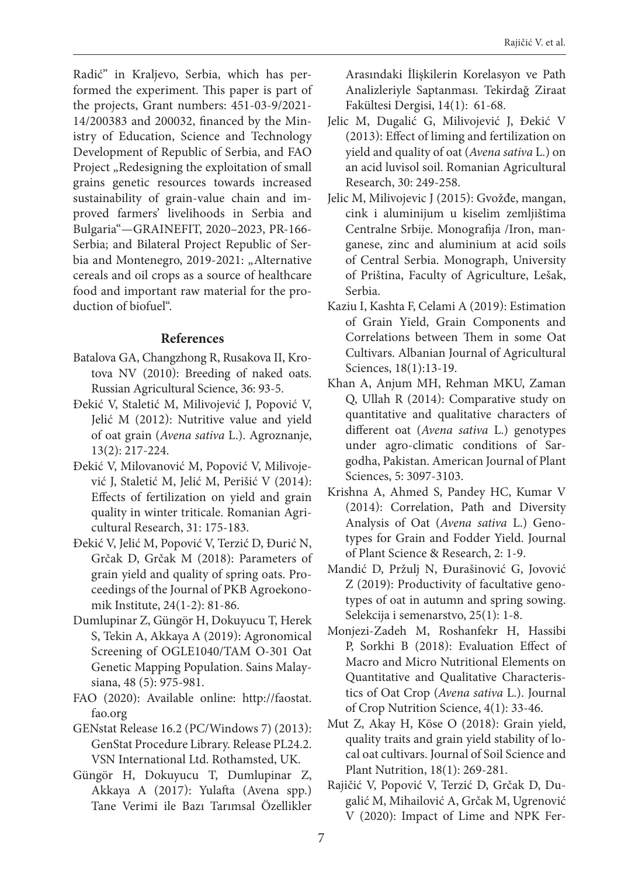Radić" in Kraljevo, Serbia, which has performed the experiment. This paper is part of the projects, Grant numbers: 451-03-9/2021- 14/200383 and 200032, financed by the Ministry of Education, Science and Technology Development of Republic of Serbia, and FAO Project "Redesigning the exploitation of small grains genetic resources towards increased sustainability of grain-value chain and improved farmers' livelihoods in Serbia and Bulgaria"—GRAINEFIT, 2020–2023, PR-166- Serbia; and Bilateral Project Republic of Serbia and Montenegro, 2019-2021: "Alternative cereals and oil crops as a source of healthcare food and important raw material for the production of biofuel".

# **References**

- Batalova GA, Changzhong R, Rusakova II, Krotova NV (2010): Breeding of naked oats. Russian Agricultural Science, 36: 93-5.
- Đekić V, Staletić M, Milivojević J, Popović V, Jelić M (2012): Nutritive value and yield of oat grain (*Avena sativa* L.). Agroznanje, 13(2): 217-224.
- Đekić V, Milovanović M, Popović V, Milivojević J, Staletić M, Jelić M, Perišić V (2014): Effects of fertilization on yield and grain quality in winter triticale. Romanian Agricultural Research, 31: 175-183.
- Đekić V, Jelić M, Popović V, Terzić D, Đurić N, Grčak D, Grčak M (2018): Parameters of grain yield and quality of spring oats. Proceedings of the Journal of PKB Agroekonomik Institute, 24(1-2): 81-86.
- Dumlupinar Z, Güngör H, Dokuyucu T, Herek S, Tekin A, Akkaya A (2019): Agronomical Screening of OGLE1040/TAM O-301 Oat Genetic Mapping Population. Sains Malaysiana, 48 (5): 975-981.
- FAO (2020): Available online: http://faostat. fao.org
- GENstat Release 16.2 (PC/Windows 7) (2013): GenStat Procedure Library. Release PL24.2. VSN International Ltd. Rothamsted, UK.
- Güngör H, Dokuyucu T, Dumlupinar Z, Akkaya A (2017): Yulafta (Avena spp.) Tane Verimi ile Bazı Tarımsal Özellikler

Arasındaki İlişkilerin Korelasyon ve Path Analizleriyle Saptanması. Tekirdağ Ziraat Fakültesi Dergisi, 14(1): 61-68.

- Jelic M, Dugalić G, Milivojević J, Đekić V (2013): Effect of liming and fertilization on yield and quality of oat (*Avena sativa* L.) on an acid luvisol soil. Romanian Agricultural Research, 30: 249-258.
- Jelic M, Milivojevic J (2015): Gvožđe, mangan, cink i aluminijum u kiselim zemljištima Centralne Srbije. Monografija /Iron, manganese, zinc and aluminium at acid soils of Central Serbia. Monograph, University of Priština, Faculty of Agriculture, Lešak, Serbia.
- Kaziu I, Kashta F, Celami A (2019): Estimation of Grain Yield, Grain Components and Correlations between Them in some Oat Cultivars. Albanian Journal of Agricultural Sciences, 18(1):13-19.
- Khan A, Anjum MH, Rehman MKU, Zaman Q, Ullah R (2014): Comparative study on quantitative and qualitative characters of different oat (*Avena sativa* L.) genotypes under agro-climatic conditions of Sargodha, Pakistan. American Journal of Plant Sciences, 5: 3097-3103.
- Krishna A, Ahmed S, Pandey HC, Kumar V (2014): Correlation, Path and Diversity Analysis of Oat (*Avena sativa* L.) Genotypes for Grain and Fodder Yield. Journal of Plant Science & Research, 2: 1-9.
- Mandić D, Pržulj N, Đurašinović G, Jovović Z (2019): Productivity of facultative genotypes of oat in autumn and spring sowing. Selekcija i semenarstvo, 25(1): 1-8.
- Monjezi-Zadeh M, Roshanfekr H, Hassibi P, Sorkhi B (2018): Evaluation Effect of Macro and Micro Nutritional Elements on Quantitative and Qualitative Characteristics of Oat Crop (*Avena sativa* L.). Journal of Crop Nutrition Science, 4(1): 33-46.
- Mut Z, Akay H, Köse O (2018): Grain yield, quality traits and grain yield stability of local oat cultivars. Journal of Soil Science and Plant Nutrition, 18(1): 269-281.
- Rajičić V, Popović V, Terzić D, Grčak D, Dugalić M, Mihailović A, Grčak M, Ugrenović V (2020): Impact of Lime and NPK Fer-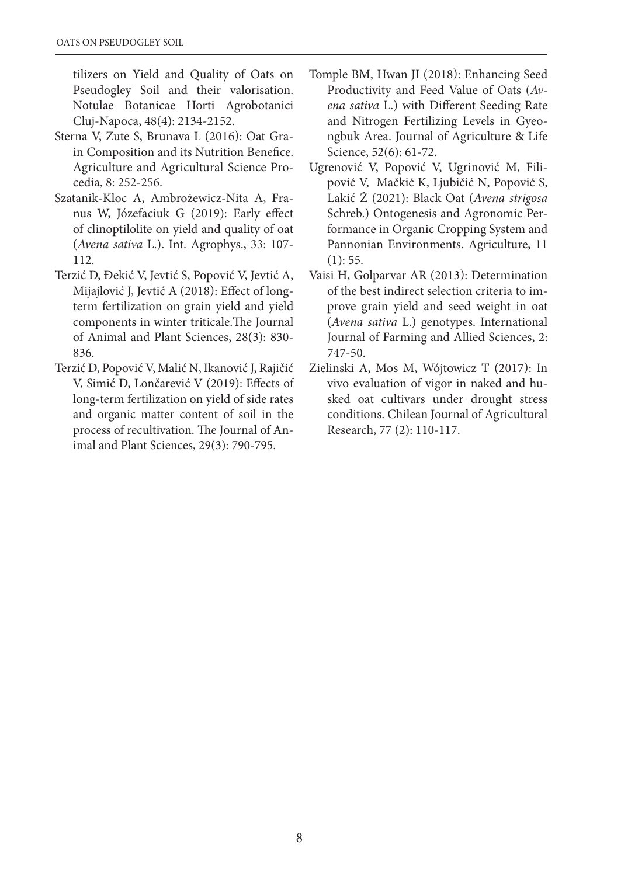tilizers on Yield and Quality of Oats on Pseudogley Soil and their valorisation. Notulae Botanicae Horti Agrobotanici Cluj-Napoca, 48(4): 2134-2152.

- Sterna V, Zute S, Brunava L (2016): Oat Grain Composition and its Nutrition Benefice. Agriculture and Agricultural Science Procedia, 8: 252-256.
- Szatanik-Kloc A, Ambrożewicz-Nita A, Franus W, Józefaciuk G (2019): Early effect of clinoptilolite on yield and quality of oat (*Avena sativa* L.). Int. Agrophys., 33: 107- 112.
- Terzić D, Đekić V, Jevtić S, Popović V, Jevtić A, Mijajlović J, Jevtić A (2018): Effect of longterm fertilization on grain yield and yield components in winter triticale.The Journal of Animal and Plant Sciences, 28(3): 830- 836.
- Terzić D, Popović V, Malić N, Ikanović J, Rajičić V, Simić D, Lončarević V (2019): Effects of long-term fertilization on yield of side rates and organic matter content of soil in the process of recultivation. The Journal of Animal and Plant Sciences, 29(3): 790-795.
- Tomple BM, Hwan JI (2018): Enhancing Seed Productivity and Feed Value of Oats (*Avena sativa* L.) with Different Seeding Rate and Nitrogen Fertilizing Levels in Gyeongbuk Area. Journal of Agriculture & Life Science, 52(6): 61-72.
- Ugrenović V, Popović V, Ugrinović M, Filipović V, Mačkić K, Ljubičić N, Popović S, Lakić Ž (2021): Black Oat (*Avena strigosa* Schreb.) Ontogenesis and Agronomic Performance in Organic Cropping System and Pannonian Environments. Agriculture, 11 (1): 55.
- Vaisi H, Golparvar AR (2013): Determination of the best indirect selection criteria to improve grain yield and seed weight in oat (*Avena sativa* L.) genotypes. International Journal of Farming and Allied Sciences, 2: 747-50.
- Zielinski A, Mos M, Wójtowicz T (2017): In vivo evaluation of vigor in naked and husked oat cultivars under drought stress conditions. Chilean Journal of Agricultural Research, 77 (2): 110-117.